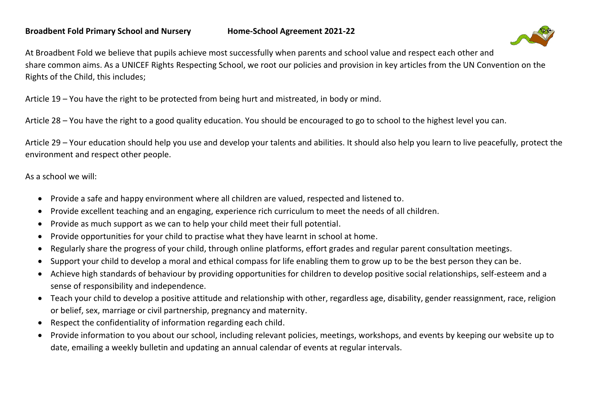

At Broadbent Fold we believe that pupils achieve most successfully when parents and school value and respect each other and share common aims. As a UNICEF Rights Respecting School, we root our policies and provision in key articles from the UN Convention on the Rights of the Child, this includes;

Article 19 – You have the right to be protected from being hurt and mistreated, in body or mind.

Article 28 – You have the right to a good quality education. You should be encouraged to go to school to the highest level you can.

Article 29 – Your education should help you use and develop your talents and abilities. It should also help you learn to live peacefully, protect the environment and respect other people.

As a school we will:

- Provide a safe and happy environment where all children are valued, respected and listened to.
- Provide excellent teaching and an engaging, experience rich curriculum to meet the needs of all children.
- Provide as much support as we can to help your child meet their full potential.
- Provide opportunities for your child to practise what they have learnt in school at home.
- Regularly share the progress of your child, through online platforms, effort grades and regular parent consultation meetings.
- Support your child to develop a moral and ethical compass for life enabling them to grow up to be the best person they can be.
- Achieve high standards of behaviour by providing opportunities for children to develop positive social relationships, self-esteem and a sense of responsibility and independence.
- Teach your child to develop a positive attitude and relationship with other, regardless age, disability, gender reassignment, race, religion or belief, sex, marriage or civil partnership, pregnancy and maternity.
- Respect the confidentiality of information regarding each child.
- Provide information to you about our school, including relevant policies, meetings, workshops, and events by keeping our website up to date, emailing a weekly bulletin and updating an annual calendar of events at regular intervals.